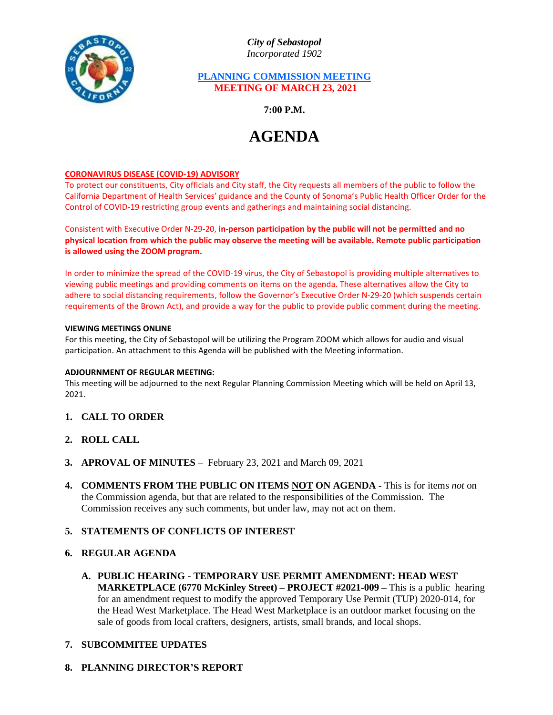

*City of Sebastopol Incorporated 1902*

## **PLANNING COMMISSION MEETING MEETING OF MARCH 23, 2021**

**7:00 P.M.**

# **AGENDA**

### **CORONAVIRUS DISEASE (COVID-19) ADVISORY**

To protect our constituents, City officials and City staff, the City requests all members of the public to follow the California Department of Health Services' guidance and the County of Sonoma's Public Health Officer Order for the Control of COVID-19 restricting group events and gatherings and maintaining social distancing.

Consistent with Executive Order N-29-20, **in-person participation by the public will not be permitted and no physical location from which the public may observe the meeting will be available. Remote public participation is allowed using the ZOOM program.**

In order to minimize the spread of the COVID-19 virus, the City of Sebastopol is providing multiple alternatives to viewing public meetings and providing comments on items on the agenda. These alternatives allow the City to adhere to social distancing requirements, follow the Governor's Executive Order N-29-20 (which suspends certain requirements of the Brown Act), and provide a way for the public to provide public comment during the meeting.

#### **VIEWING MEETINGS ONLINE**

For this meeting, the City of Sebastopol will be utilizing the Program ZOOM which allows for audio and visual participation. An attachment to this Agenda will be published with the Meeting information.

#### **ADJOURNMENT OF REGULAR MEETING:**

This meeting will be adjourned to the next Regular Planning Commission Meeting which will be held on April 13, 2021.

- **1. CALL TO ORDER**
- **2. ROLL CALL**
- **3. APROVAL OF MINUTES** February 23, 2021 and March 09, 2021
- **4. COMMENTS FROM THE PUBLIC ON ITEMS NOT ON AGENDA -** This is for items *not* on the Commission agenda, but that are related to the responsibilities of the Commission. The Commission receives any such comments, but under law, may not act on them.

## **5. STATEMENTS OF CONFLICTS OF INTEREST**

- **6. REGULAR AGENDA**
	- **A. PUBLIC HEARING - TEMPORARY USE PERMIT AMENDMENT: HEAD WEST MARKETPLACE (6770 McKinley Street) – PROJECT #2021-009 –** This is a public hearing for an amendment request to modify the approved Temporary Use Permit (TUP) 2020-014, for the Head West Marketplace. The Head West Marketplace is an outdoor market focusing on the sale of goods from local crafters, designers, artists, small brands, and local shops.

## **7. SUBCOMMITEE UPDATES**

## **8. PLANNING DIRECTOR'S REPORT**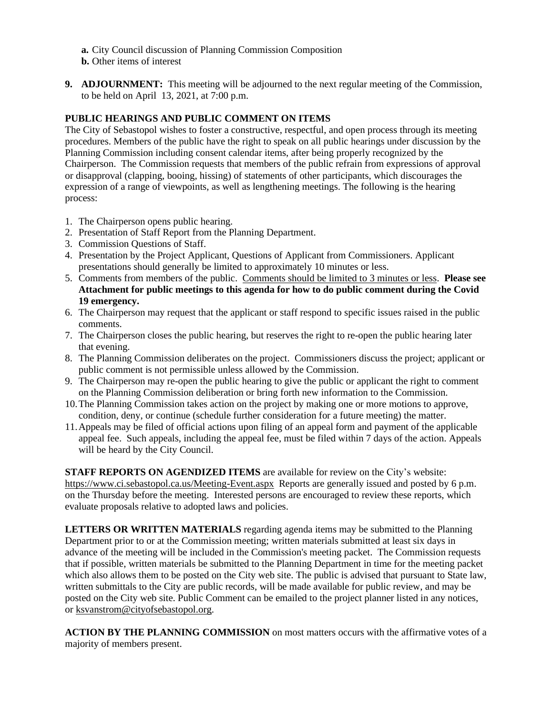- **a.** City Council discussion of Planning Commission Composition
- **b.** Other items of interest
- **9. ADJOURNMENT:** This meeting will be adjourned to the next regular meeting of the Commission, to be held on April 13, 2021, at 7:00 p.m.

## **PUBLIC HEARINGS AND PUBLIC COMMENT ON ITEMS**

The City of Sebastopol wishes to foster a constructive, respectful, and open process through its meeting procedures. Members of the public have the right to speak on all public hearings under discussion by the Planning Commission including consent calendar items, after being properly recognized by the Chairperson. The Commission requests that members of the public refrain from expressions of approval or disapproval (clapping, booing, hissing) of statements of other participants, which discourages the expression of a range of viewpoints, as well as lengthening meetings. The following is the hearing process:

- 1. The Chairperson opens public hearing.
- 2. Presentation of Staff Report from the Planning Department.
- 3. Commission Questions of Staff.
- 4. Presentation by the Project Applicant, Questions of Applicant from Commissioners. Applicant presentations should generally be limited to approximately 10 minutes or less.
- 5. Comments from members of the public. Comments should be limited to 3 minutes or less. **Please see Attachment for public meetings to this agenda for how to do public comment during the Covid 19 emergency.**
- 6. The Chairperson may request that the applicant or staff respond to specific issues raised in the public comments.
- 7. The Chairperson closes the public hearing, but reserves the right to re-open the public hearing later that evening.
- 8. The Planning Commission deliberates on the project. Commissioners discuss the project; applicant or public comment is not permissible unless allowed by the Commission.
- 9. The Chairperson may re-open the public hearing to give the public or applicant the right to comment on the Planning Commission deliberation or bring forth new information to the Commission.
- 10.The Planning Commission takes action on the project by making one or more motions to approve, condition, deny, or continue (schedule further consideration for a future meeting) the matter.
- 11.Appeals may be filed of official actions upon filing of an appeal form and payment of the applicable appeal fee. Such appeals, including the appeal fee, must be filed within 7 days of the action. Appeals will be heard by the City Council.

**STAFF REPORTS ON AGENDIZED ITEMS** are available for review on the City's website: <https://www.ci.sebastopol.ca.us/Meeting-Event.aspx> Reports are generally issued and posted by 6 p.m. on the Thursday before the meeting. Interested persons are encouraged to review these reports, which evaluate proposals relative to adopted laws and policies.

**LETTERS OR WRITTEN MATERIALS** regarding agenda items may be submitted to the Planning Department prior to or at the Commission meeting; written materials submitted at least six days in advance of the meeting will be included in the Commission's meeting packet. The Commission requests that if possible, written materials be submitted to the Planning Department in time for the meeting packet which also allows them to be posted on the City web site. The public is advised that pursuant to State law, written submittals to the City are public records, will be made available for public review, and may be posted on the City web site. Public Comment can be emailed to the project planner listed in any notices, or [ksvanstrom@cityofsebastopol.org.](mailto:ksvanstrom@cityofsebastopol.org)

**ACTION BY THE PLANNING COMMISSION** on most matters occurs with the affirmative votes of a majority of members present.